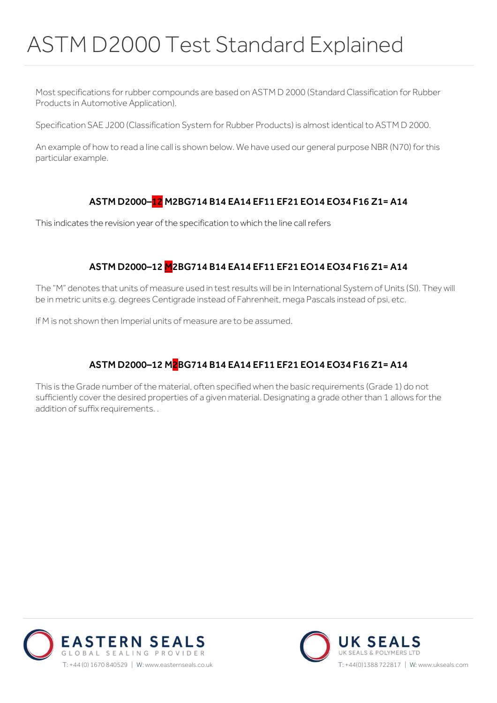# ASTM D2000 Test Standard Explained

Most specifications for rubber compounds are based on ASTM D 2000 (Standard Classification for Rubber Products in Automotive Application).

Specification SAE J200 (Classification System for Rubber Products) is almost identical to ASTM D 2000.

An example of how to read a line call is shown below. We have used our general purpose NBR (N70) for this particular example.

#### ASTM D2000–12 M2BG714 B14 EA14 EF11 EF21 EO14 EO34 F16 Z1= A14

This indicates the revision year of the specification to which the line call refers

#### ASTM D2000–12 M2BG714 B14 EA14 EF11 EF21 EO14 EO34 F16 Z1= A14

The "M" denotes that units of measure used in test results will be in International System of Units (SI). They will be in metric units e.g. degrees Centigrade instead of Fahrenheit, mega Pascals instead of psi, etc.

If M is not shown then Imperial units of measure are to be assumed.

## ASTM D2000–12 M2BG714 B14 EA14 EF11 EF21 EO14 EO34 F16 Z1= A14

This is the Grade number of the material, often specified when the basic requirements (Grade 1) do not sufficiently cover the desired properties of a given material. Designating a grade other than 1 allows for the addition of suffix requirements. .



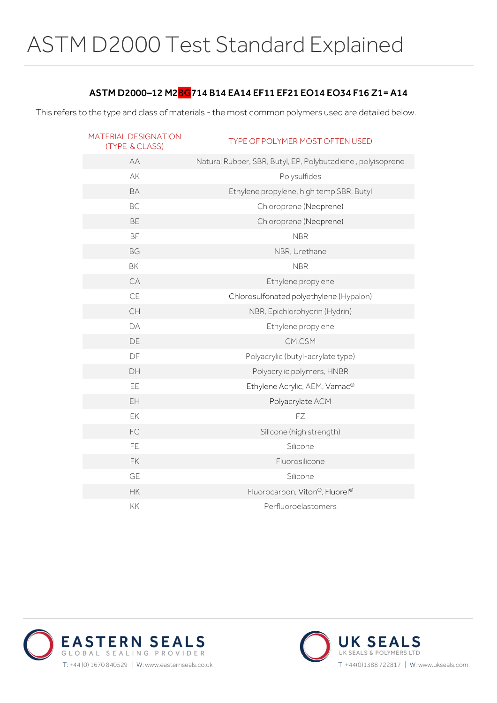#### ASTM D2000–12 M2BG714 B14 EA14 EF11 EF21 EO14 EO34 F16 Z1= A14

This refers to the type and class of materials - the most common polymers used are detailed below.

| MATERIAL DESIGNATION<br><b>(TYPE &amp; CLASS)</b> | TYPE OF POLYMER MOST OFTEN USED                             |
|---------------------------------------------------|-------------------------------------------------------------|
| AA                                                | Natural Rubber, SBR, Butyl, EP, Polybutadiene, polyisoprene |
| AK                                                | Polysulfides                                                |
| <b>BA</b>                                         | Ethylene propylene, high temp SBR, Butyl                    |
| <b>BC</b>                                         | Chloroprene (Neoprene)                                      |
| <b>BE</b>                                         | Chloroprene (Neoprene)                                      |
| <b>BF</b>                                         | <b>NBR</b>                                                  |
| <b>BG</b>                                         | NBR, Urethane                                               |
| BK                                                | <b>NBR</b>                                                  |
| CA                                                | Ethylene propylene                                          |
| CE                                                | Chlorosulfonated polyethylene (Hypalon)                     |
| CH                                                | NBR, Epichlorohydrin (Hydrin)                               |
| DA                                                | Ethylene propylene                                          |
| DE                                                | CM.CSM                                                      |
| DF                                                | Polyacrylic (butyl-acrylate type)                           |
| DH                                                | Polyacrylic polymers, HNBR                                  |
| EE                                                | Ethylene Acrylic, AEM, Vamac®                               |
| EH                                                | Polyacrylate ACM                                            |
| EK                                                | FZ                                                          |
| FC                                                | Silicone (high strength)                                    |
| FE.                                               | Silicone                                                    |
| <b>FK</b>                                         | Fluorosilicone                                              |
| <b>GE</b>                                         | Silicone                                                    |
| <b>HK</b>                                         | Fluorocarbon, Viton®, Fluorel®                              |
| <b>KK</b>                                         | Perfluoroelastomers                                         |



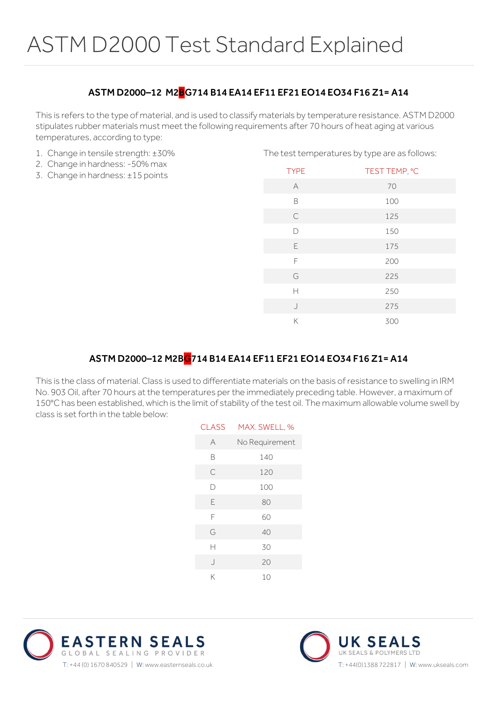### ASTM D2000–12 M2BG714 B14 EA14 EF11 EF21 EO14 EO34 F16 Z1= A14

This is refers to the type of material, and is used to classify materials by temperature resistance. ASTM D2000 stipulates rubber materials must meet the following requirements after 70 hours of heat aging at various temperatures, according to type:

- 1. Change in tensile strength: ±30%
- 2. Change in hardness: -50% max
- 3. Change in hardness: ±15 points

| The test temperatures by type are as follows: |               |
|-----------------------------------------------|---------------|
| <b>TYPE</b>                                   | TEST TEMP, °C |
| A                                             | 70            |
| B                                             | 100           |
| $\mathsf{C}$                                  | 125           |
| $\Box$                                        | 150           |
| E                                             | 175           |
| F                                             | 200           |
| G                                             | 225           |
| Н                                             | 250           |
| $\cdot$                                       | 275           |
| Κ                                             | 300           |

### ASTM D2000–12 M2BG714 B14 EA14 EF11 EF21 EO14 EO34 F16 Z1= A14

This is the class of material. Class is used to differentiate materials on the basis of resistance to swelling in IRM No. 903 Oil, after 70 hours at the temperatures per the immediately preceding table. However, a maximum of 150°C has been established, which is the limit of stability of the test oil. The maximum allowable volume swell by class is set forth in the table below:

| <b>CLASS</b> | MAX. SWELL, %  |
|--------------|----------------|
| A            | No Requirement |
| B            | 140            |
| С            | 120            |
| D            | 100            |
| Ε            | 80             |
| F            | 60             |
| G            | 40             |
| Н            | 30             |
| $\bigcup$    | 20             |
| Κ            | 10             |
|              |                |



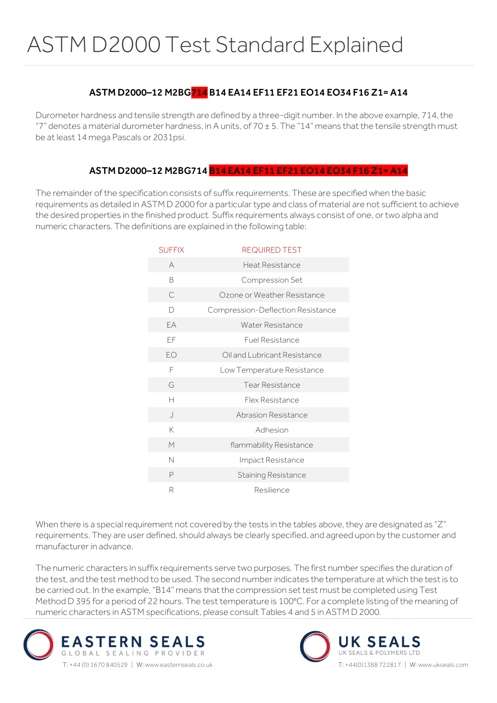### ASTM D2000–12 M2BG714 B14 EA14 EF11 EF21 EO14 EO34 F16 Z1= A14

Durometer hardness and tensile strength are defined by a three-digit number. In the above example, 714, the "7" denotes a material durometer hardness, in A units, of  $70 \pm 5$ . The "14" means that the tensile strength must be at least 14 mega Pascals or 2031psi.

#### ASTM D2000–12 M2BG714 B14 EA14 EF11 EF21 EO14 EO34 F16 Z1= A14

The remainder of the specification consists of suffix requirements. These are specified when the basic requirements as detailed in ASTM D 2000 for a particular type and class of material are not sufficient to achieve the desired properties in the finished product. Suffix requirements always consist of one, or two alpha and numeric characters. The definitions are explained in the following table:

| <b>SUFFIX</b> | <b>REQUIRED TEST</b>              |
|---------------|-----------------------------------|
| A             | Heat Resistance                   |
| B             | Compression Set                   |
| С             | Ozone or Weather Resistance       |
| D             | Compression-Deflection Resistance |
| <b>FA</b>     | <b>Water Resistance</b>           |
| EF            | <b>Fuel Resistance</b>            |
| EO            | Oil and Lubricant Resistance      |
| F             | Low Temperature Resistance        |
| G             | <b>Tear Resistance</b>            |
| Н             | Flex Resistance                   |
| $\cdot$       | Abrasion Resistance               |
| K             | Adhesion                          |
| M             | flammability Resistance           |
| N             | Impact Resistance                 |
| P             | <b>Staining Resistance</b>        |
| R             | Resilience                        |

When there is a special requirement not covered by the tests in the tables above, they are designated as "Z" requirements. They are user defined, should always be clearly specified, and agreed upon by the customer and manufacturer in advance.

The numeric characters in suffix requirements serve two purposes. The first number specifies the duration of the test, and the test method to be used. The second number indicates the temperature at which the test is to be carried out. In the example, "B14" means that the compression set test must be completed using Test Method D 395 for a period of 22 hours. The test temperature is 100°C. For a complete listing of the meaning of numeric characters in ASTM specifications, please consult Tables 4 and 5 in ASTM D 2000.